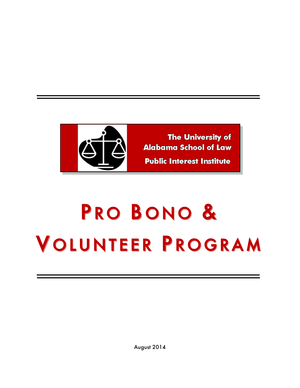

# PRO BONO & VOLUNTEER PROGRAM

August 2014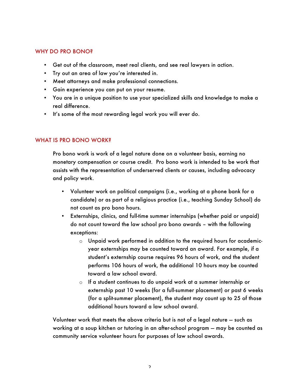# WHY DO PRO BONO?

- Get out of the classroom, meet real clients, and see real lawyers in action.
- Try out an area of law you're interested in.
- Meet attorneys and make professional connections.
- Gain experience you can put on your resume.
- You are in a unique position to use your specialized skills and knowledge to make a real difference.
- It's some of the most rewarding legal work you will ever do.

# WHAT IS PRO BONO WORK?

Pro bono work is work of a legal nature done on a volunteer basis, earning no monetary compensation or course credit. Pro bono work is intended to be work that assists with the representation of underserved clients or causes, including advocacy and policy work.

- Volunteer work on political campaigns (i.e., working at a phone bank for a candidate) or as part of a religious practice (i.e., teaching Sunday School) do not count as pro bono hours.
- Externships, clinics, and full-time summer internships (whether paid or unpaid) do not count toward the law school pro bono awards – with the following exceptions:
	- o Unpaid work performed in addition to the required hours for academicyear externships may be counted toward an award. For example, if a student's externship course requires 96 hours of work, and the student performs 106 hours of work, the additional 10 hours may be counted toward a law school award.
	- o If a student continues to do unpaid work at a summer internship or externship past 10 weeks (for a full-summer placement) or past 6 weeks (for a split-summer placement), the student may count up to 25 of those additional hours toward a law school award.

Volunteer work that meets the above criteria but is not of a legal nature — such as working at a soup kitchen or tutoring in an after-school program — may be counted as community service volunteer hours for purposes of law school awards.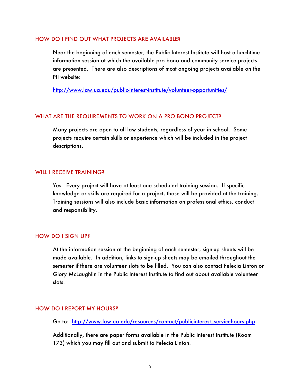#### HOW DO I FIND OUT WHAT PROJECTS ARE AVAILABLE?

Near the beginning of each semester, the Public Interest Institute will host a lunchtime information session at which the available pro bono and community service projects are presented. There are also descriptions of most ongoing projects available on the PII website:

http://www.law.ua.edu/public-interest-institute/volunteer-opportunities/

### WHAT ARE THE REQUIREMENTS TO WORK ON A PRO BONO PROJECT?

Many projects are open to all law students, regardless of year in school. Some projects require certain skills or experience which will be included in the project descriptions.

#### WILL I RECEIVE TRAINING?

Yes. Every project will have at least one scheduled training session. If specific knowledge or skills are required for a project, those will be provided at the training. Training sessions will also include basic information on professional ethics, conduct and responsibility.

#### HOW DO I SIGN UP?

At the information session at the beginning of each semester, sign-up sheets will be made available. In addition, links to sign-up sheets may be emailed throughout the semester if there are volunteer slots to be filled. You can also contact Felecia Linton or Glory McLaughlin in the Public Interest Institute to find out about available volunteer slots.

#### HOW DO I REPORT MY HOURS?

Go to: http://www.law.ua.edu/resources/contact/publicinterest\_servicehours.php

Additionally, there are paper forms available in the Public Interest Institute (Room 173) which you may fill out and submit to Felecia Linton.